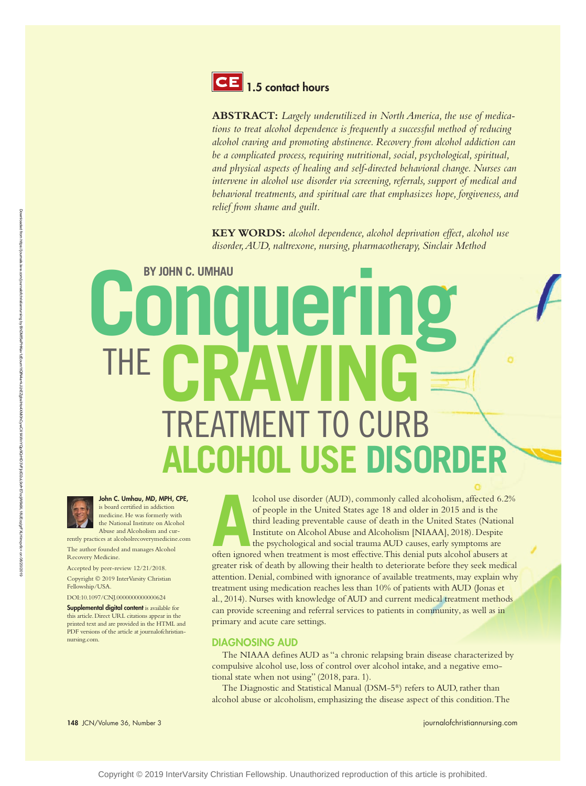

**ABSTRACT:** *Largely underutilized in North America, the use of medications to treat alcohol dependence is frequently a successful method of reducing alcohol craving and promoting abstinence. Recovery from alcohol addiction can be a complicated process, requiring nutritional, social, psychological, spiritual, and physical aspects of healing and self-directed behavioral change. Nurses can intervene in alcohol use disorder via screening, referrals, support of medical and behavioral treatments, and spiritual care that emphasizes hope, forgiveness, and relief from shame and guilt.*

**KEY WORDS:** *alcohol dependence, alcohol deprivation effect, alcohol use disorder, AUD, naltrexone, nursing, pharmacotherapy, Sinclair Method*

# **BY JOHN C. UMHAU Conquering** TREATMENT TO CU **ALCOHOL USE DISORDER** THE **CRAVING**



John C. Umhau, MD, MPH, CPE, is board certified in addiction medicine. He was formerly with

the National Institute on Alcohol Abuse and Alcoholism and currently practices at alcoholrecoverymedicine.com

The author founded and manages Alcohol Recovery Medicine.

Accepted by peer-review 12/21/2018.

Copyright © 2019 InterVarsity Christian Fellowship/USA.

DOI:10.1097/CNJ.0000000000000624

Supplemental digital content is available for this article. Direct URL citations appear in the printed text and are provided in the HTML and PDF versions of the article at journalofchristiannursing.com.

148 JCN/Volume 36, Number 3 [journalofchristiannursing.com](http://journalofchristiannursing.com)

**A** loohol use disorder (AUD), commonly called alcoholism, affected 6.29<br>of people in the United States age 18 and older in 2015 and is the<br>third leading preventable cause of death in the United States (Nationa<br>Institute o lcohol use disorder (AUD), commonly called alcoholism, affected 6.2% of people in the United States age 18 and older in 2015 and is the third leading preventable cause of death in the United States (National Institute on Alcohol Abuse and Alcoholism [NIAAA], 2018). Despite the psychological and social trauma AUD causes, early symptoms are greater risk of death by allowing their health to deteriorate before they seek medical attention. Denial, combined with ignorance of available treatments, may explain why treatment using medication reaches less than 10% of patients with AUD (Jonas et al., 2014). Nurses with knowledge of AUD and current medical treatment methods can provide screening and referral services to patients in community, as well as in primary and acute care settings.

#### DIAGNOSING AUD

The NIAAA defines AUD as "a chronic relapsing brain disease characterized by compulsive alcohol use, loss of control over alcohol intake, and a negative emotional state when not using" (2018, para. 1).

The Diagnostic and Statistical Manual (DSM-5®) refers to AUD, rather than alcohol abuse or alcoholism, emphasizing the disease aspect of this condition. The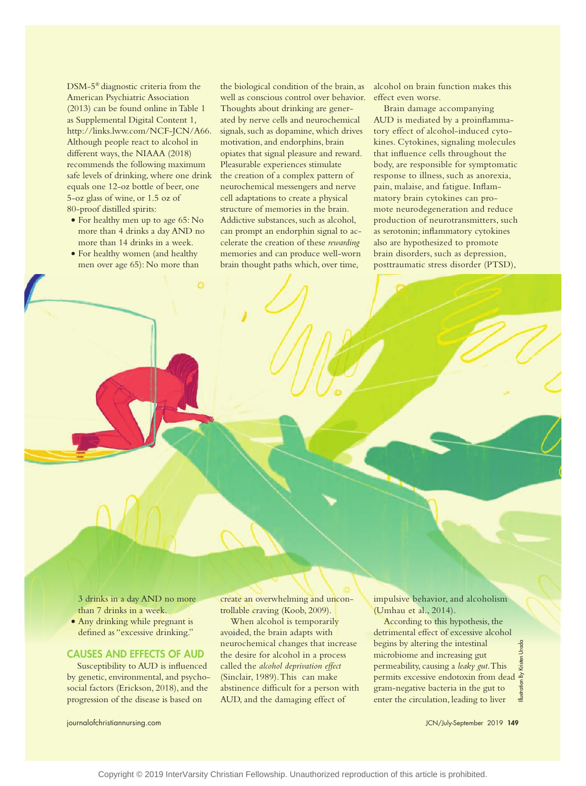DSM-5® diagnostic criteria from the American Psychiatric Association (2013) can be found online in Table 1 as Supplemental Digital Content 1, <http://links.lww.com/NCF-JCN/A66>. Although people react to alcohol in different ways, the NIAAA (2018) recommends the following maximum safe levels of drinking, where one drink equals one 12-oz bottle of beer, one 5-oz glass of wine, or 1.5 oz of 80-proof distilled spirits:

- For healthy men up to age 65: No more than 4 drinks a day AND no more than 14 drinks in a week.
- For healthy women (and healthy men over age 65): No more than

 $\alpha$ 

the biological condition of the brain, as well as conscious control over behavior. Thoughts about drinking are generated by nerve cells and neurochemical signals, such as dopamine, which drives motivation, and endorphins, brain opiates that signal pleasure and reward. Pleasurable experiences stimulate the creation of a complex pattern of neurochemical messengers and nerve cell adaptations to create a physical structure of memories in the brain. Addictive substances, such as alcohol, can prompt an endorphin signal to accelerate the creation of these *rewarding* memories and can produce well-worn brain thought paths which, over time,

**Denial, combined with ignorance of available**   $\frac{1}{2}$ **medication reaches less than 10% of patients** 

alcohol on brain function makes this effect even worse.

Brain damage accompanying AUD is mediated by a proinflammatory effect of alcohol-induced cytokines. Cytokines, signaling molecules that influence cells throughout the body, are responsible for symptomatic response to illness, such as anorexia, pain, malaise, and fatigue. Inflammatory brain cytokines can promote neurodegeneration and reduce production of neurotransmitters, such as serotonin; inflammatory cytokines also are hypothesized to promote brain disorders, such as depression, posttraumatic stress disorder (PTSD),

3 drinks in a day AND no more than 7 drinks in a week.

• Any drinking while pregnant is defined as "excessive drinking."

#### CAUSES AND EFFECTS OF AUD

Susceptibility to AUD is influenced by genetic, environmental, and psychosocial factors (Erickson, 2018), and the progression of the disease is based on

create an overwhelming and uncontrollable craving (Koob, 2009).

When alcohol is temporarily avoided, the brain adapts with neurochemical changes that increase the desire for alcohol in a process called the *alcohol deprivation effect* (Sinclair, 1989). This can make abstinence difficult for a person with AUD, and the damaging effect of

impulsive behavior, and alcoholism (Umhau et al., 2014).

According to this hypothesis, the detrimental effect of excessive alcohol begins by altering the intestinal Illustration By Kristen Uroda Uroda microbiome and increasing gut permeability, causing a *leaky gut*. This permits excessive endotoxin from dead gram-negative bacteria in the gut to enter the circulation, leading to liver

[journalofchristiannursing.com](http://journalofchristiannursing.com) JCN/July-September 2019 149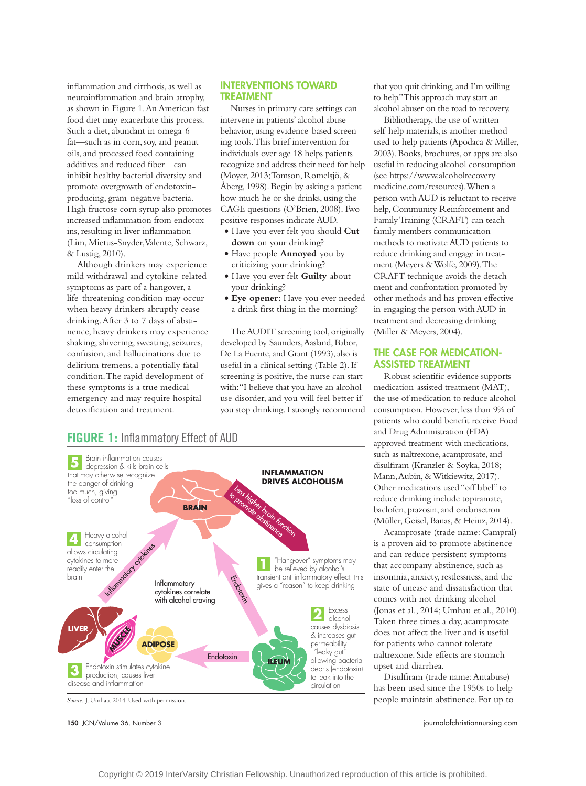inflammation and cirrhosis, as well as neuroinflammation and brain atrophy, as shown in Figure 1. An American fast food diet may exacerbate this process. Such a diet, abundant in omega-6 fat—such as in corn, soy, and peanut oils, and processed food containing additives and reduced fiber—can inhibit healthy bacterial diversity and promote overgrowth of endotoxinproducing, gram-negative bacteria. High fructose corn syrup also promotes increased inflammation from endotoxins, resulting in liver inflammation (Lim, Mietus-Snyder, Valente, Schwarz, & Lustig, 2010).

Although drinkers may experience mild withdrawal and cytokine-related symptoms as part of a hangover, a life-threatening condition may occur when heavy drinkers abruptly cease drinking. After 3 to 7 days of abstinence, heavy drinkers may experience shaking, shivering, sweating, seizures, confusion, and hallucinations due to delirium tremens, a potentially fatal condition. The rapid development of these symptoms is a true medical emergency and may require hospital detoxification and treatment.

#### INTERVENTIONS TOWARD TREATMENT

Nurses in primary care settings can intervene in patients' alcohol abuse behavior, using evidence-based screening tools. This brief intervention for individuals over age 18 helps patients recognize and address their need for help (Moyer, 2013; Tomson, Romelsjö, & Åberg, 1998). Begin by asking a patient how much he or she drinks, using the CAGE questions (O'Brien, 2008). Two positive responses indicate AUD.

- • Have you ever felt you should **Cut down** on your drinking?
- • Have people **Annoyed** you by criticizing your drinking?
- • Have you ever felt **Guilty** about your drinking?
- • **Eye opener:** Have you ever needed a drink first thing in the morning?

The AUDIT screening tool, originally developed by Saunders, Aasland, Babor, De La Fuente, and Grant (1993), also is useful in a clinical setting (Table 2). If screening is positive, the nurse can start with: "I believe that you have an alcohol use disorder, and you will feel better if you stop drinking. I strongly recommend

that you quit drinking, and I'm willing to help." This approach may start an alcohol abuser on the road to recovery.

Bibliotherapy, the use of written self-help materials, is another method used to help patients (Apodaca & Miller, 2003). Books, brochures, or apps are also useful in reducing alcohol consumption (see [https://www.alcoholrecovery](https://www.alcoholrecoverymedicine.com/resources) [medicine.com/resources](https://www.alcoholrecoverymedicine.com/resources)). When a person with AUD is reluctant to receive help, Community Reinforcement and Family Training (CRAFT) can teach family members communication methods to motivate AUD patients to reduce drinking and engage in treatment (Meyers & Wolfe, 2009). The CRAFT technique avoids the detachment and confrontation promoted by other methods and has proven effective in engaging the person with AUD in treatment and decreasing drinking (Miller & Meyers, 2004).

#### THE CASE FOR MEDICATION-ASSISTED TREATMENT

Robust scientific evidence supports medication-assisted treatment (MAT), the use of medication to reduce alcohol consumption. However, less than 9% of patients who could benefit receive Food and Drug Administration (FDA) approved treatment with medications, such as naltrexone, acamprosate, and disulfiram (Kranzler & Soyka, 2018; Mann, Aubin, & Witkiewitz, 2017). Other medications used "off label" to reduce drinking include topiramate, baclofen, prazosin, and ondansetron (Müller, Geisel, Banas, & Heinz, 2014).

Acamprosate (trade name: Campral) is a proven aid to promote abstinence and can reduce persistent symptoms that accompany abstinence, such as insomnia, anxiety, restlessness, and the state of unease and dissatisfaction that comes with not drinking alcohol (Jonas et al., 2014; Umhau et al., 2010). Taken three times a day, acamprosate does not affect the liver and is useful for patients who cannot tolerate naltrexone. Side effects are stomach upset and diarrhea.

Disulfiram (trade name: Antabuse) has been used since the 1950s to help people maintain abstinence. For up to

150 JCN/Volume 36, Number 3 [journalofchristiannursing.com](http://journalofchristiannursing.com)

## **FIGURE 1:** Inflammatory Effect of AUD



*Source:* J. Umhau, 2014. Used with permission.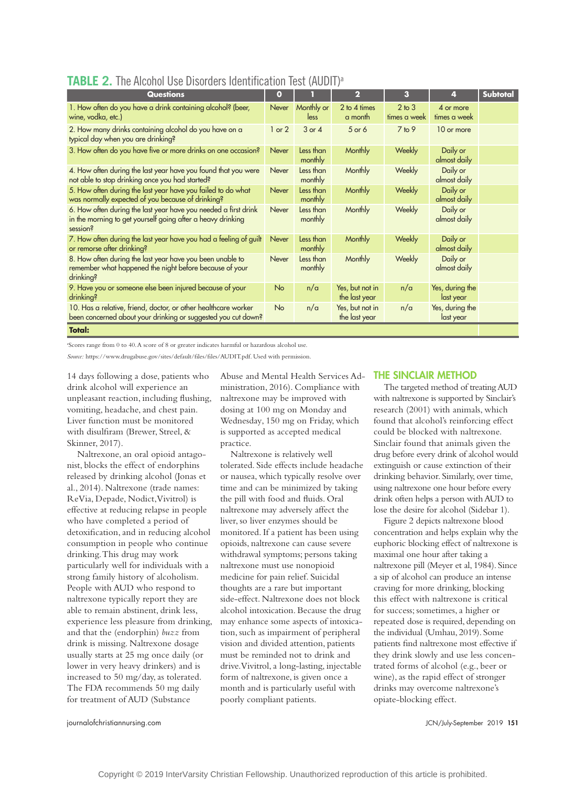| <b>Questions</b>                                                                                                                           | $\mathbf{o}$ |                      | $\overline{\mathbf{2}}$          | 3                          | 4                            | Subtotal |
|--------------------------------------------------------------------------------------------------------------------------------------------|--------------|----------------------|----------------------------------|----------------------------|------------------------------|----------|
| 1. How often do you have a drink containing alcohol? (beer,<br>wine, vodka, etc.)                                                          | Never        | Monthly or<br>less   | 2 to 4 times<br>a month          | $2$ to $3$<br>times a week | 4 or more<br>times a week    |          |
| 2. How many drinks containing alcohol do you have on a<br>typical day when you are drinking?                                               | $1$ or $2$   | $3$ or $4$           | 5 or 6                           | $7$ to $9$                 | 10 or more                   |          |
| 3. How often do you have five or more drinks on one occasion?                                                                              | <b>Never</b> | Less than<br>monthly | Monthly                          | <b>Weekly</b>              | Daily or<br>almost daily     |          |
| 4. How often during the last year have you found that you were<br>not able to stop drinking once you had started?                          | Never        | Less than<br>monthly | Monthly                          | Weekly                     | Daily or<br>almost daily     |          |
| 5. How often during the last year have you failed to do what<br>was normally expected of you because of drinking?                          | Never        | Less than<br>monthly | Monthly                          | <b>Weekly</b>              | Daily or<br>almost daily     |          |
| 6. How often during the last year have you needed a first drink<br>in the morning to get yourself going after a heavy drinking<br>session? | <b>Never</b> | Less than<br>monthly | Monthly                          | Weekly                     | Daily or<br>almost daily     |          |
| 7. How often during the last year have you had a feeling of guilt<br>or remorse after drinking?                                            | Never        | Less than<br>monthly | Monthly                          | Weekly                     | Daily or<br>almost daily     |          |
| 8. How often during the last year have you been unable to<br>remember what happened the night before because of your<br>drinking?          | Never        | Less than<br>monthly | Monthly                          | Weekly                     | Daily or<br>almost daily     |          |
| 9. Have you or someone else been injured because of your<br>drinking?                                                                      | <b>No</b>    | n/a                  | Yes, but not in<br>the last year | n/a                        | Yes, during the<br>last year |          |
| 10. Has a relative, friend, doctor, or other healthcare worker<br>been concerned about your drinking or suggested you cut down?            | <b>No</b>    | n/a                  | Yes, but not in<br>the last year | n/a                        | Yes, during the<br>last year |          |
| <b>Total:</b>                                                                                                                              |              |                      |                                  |                            |                              |          |

### **TABLE 2.** The Alcohol Use Disorders Identification Test (AUDIT)<sup>a</sup>

a Scores range from 0 to 40. A score of 8 or greater indicates harmful or hazardous alcohol use.

*Source:*<https://www.drugabuse.gov/sites/default/files/files/AUDIT.pdf>. Used with permission.

14 days following a dose, patients who drink alcohol will experience an unpleasant reaction, including flushing, vomiting, headache, and chest pain. Liver function must be monitored with disulfiram (Brewer, Streel, & Skinner, 2017).

Naltrexone, an oral opioid antagonist, blocks the effect of endorphins released by drinking alcohol (Jonas et al., 2014). Naltrexone (trade names: ReVia, Depade, Nodict, Vivitrol) is effective at reducing relapse in people who have completed a period of detoxification, and in reducing alcohol consumption in people who continue drinking. This drug may work particularly well for individuals with a strong family history of alcoholism. People with AUD who respond to naltrexone typically report they are able to remain abstinent, drink less, experience less pleasure from drinking, and that the (endorphin) *buzz* from drink is missing. Naltrexone dosage usually starts at 25 mg once daily (or lower in very heavy drinkers) and is increased to 50 mg/day, as tolerated. The FDA recommends 50 mg daily for treatment of AUD (Substance

Abuse and Mental Health Services Administration, 2016). Compliance with naltrexone may be improved with dosing at 100 mg on Monday and Wednesday, 150 mg on Friday, which is supported as accepted medical practice.

Naltrexone is relatively well tolerated. Side effects include headache or nausea, which typically resolve over time and can be minimized by taking the pill with food and fluids. Oral naltrexone may adversely affect the liver, so liver enzymes should be monitored. If a patient has been using opioids, naltrexone can cause severe withdrawal symptoms; persons taking naltrexone must use nonopioid medicine for pain relief. Suicidal thoughts are a rare but important side-effect. Naltrexone does not block alcohol intoxication. Because the drug may enhance some aspects of intoxication, such as impairment of peripheral vision and divided attention, patients must be reminded not to drink and drive. Vivitrol, a long-lasting, injectable form of naltrexone, is given once a month and is particularly useful with poorly compliant patients.

#### THE SINCLAIR METHOD

The targeted method of treating AUD with naltrexone is supported by Sinclair's research (2001) with animals, which found that alcohol's reinforcing effect could be blocked with naltrexone. Sinclair found that animals given the drug before every drink of alcohol would extinguish or cause extinction of their drinking behavior. Similarly, over time, using naltrexone one hour before every drink often helps a person with AUD to lose the desire for alcohol (Sidebar 1).

Figure 2 depicts naltrexone blood concentration and helps explain why the euphoric blocking effect of naltrexone is maximal one hour after taking a naltrexone pill (Meyer et al, 1984). Since a sip of alcohol can produce an intense craving for more drinking, blocking this effect with naltrexone is critical for success; sometimes, a higher or repeated dose is required, depending on the individual (Umhau, 2019). Some patients find naltrexone most effective if they drink slowly and use less concentrated forms of alcohol (e.g., beer or wine), as the rapid effect of stronger drinks may overcome naltrexone's opiate-blocking effect.

[journalofchristiannursing.com](http://journalofchristiannursing.com) JCN/July-September 2019 151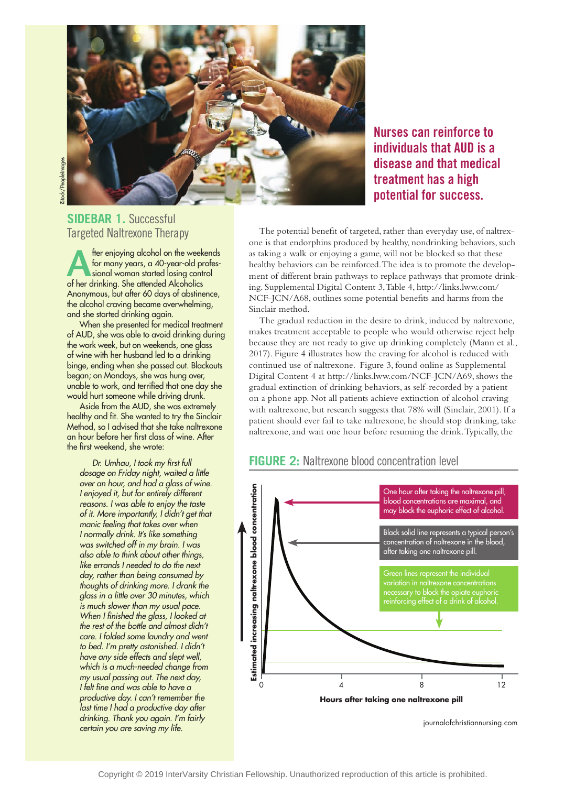

## **SIDEBAR 1.** Successful Targeted Naltrexone Therapy

**A** for enjoying alcohol on the weekends<br>
for many years, a 40-year-old profes-<br>
sional woman started losing control<br>
of her drinking. She attended Alcoholics for many years, a 40-year-old profesof her drinking. She attended Alcoholics Anonymous, but after 60 days of abstinence, the alcohol craving became overwhelming, and she started drinking again.

When she presented for medical treatment of AUD, she was able to avoid drinking during the work week, but on weekends, one glass of wine with her husband led to a drinking binge, ending when she passed out. Blackouts began; on Mondays, she was hung over, unable to work, and terrified that one day she would hurt someone while driving drunk.

Aside from the AUD, she was extremely healthy and fit. She wanted to try the Sinclair Method, so I advised that she take naltrexone an hour before her first class of wine. After the first weekend, she wrote:

*Dr. Umhau, I took my first full dosage on Friday night, waited a little over an hour, and had a glass of wine. I enjoyed it, but for entirely different reasons. I was able to enjoy the taste of it. More importantly, I didn't get that manic feeling that takes over when I normally drink. It's like something was switched off in my brain. I was also able to think about other things, like errands I needed to do the next day, rather than being consumed by thoughts of drinking more. I drank the glass in a little over 30 minutes, which is much slower than my usual pace. When I finished the glass, I looked at the rest of the bottle and almost didn't care. I folded some laundry and went to bed. I'm pretty astonished. I didn't have any side effects and slept well, which is a much-needed change from my usual passing out. The next day, I felt fine and was able to have a productive day. I can't remember the last time I had a productive day after drinking. Thank you again. I'm fairly certain you are saving my life.*

**individuals that AUD is a disease and that medical treatment has a high potential for success.**

**Nurses can reinforce to** 

The potential benefit of targeted, rather than everyday use, of naltrexone is that endorphins produced by healthy, nondrinking behaviors, such as taking a walk or enjoying a game, will not be blocked so that these healthy behaviors can be reinforced. The idea is to promote the development of different brain pathways to replace pathways that promote drinking. Supplemental Digital Content 3, Table 4, [http://links.lww.com/](http://links.lww.com/NCF-JCN/A68) [NCF-JCN/A68](http://links.lww.com/NCF-JCN/A68), outlines some potential benefits and harms from the Sinclair method.

The gradual reduction in the desire to drink, induced by naltrexone, makes treatment acceptable to people who would otherwise reject help because they are not ready to give up drinking completely (Mann et al., 2017). Figure 4 illustrates how the craving for alcohol is reduced with continued use of naltrexone. Figure 3, found online as Supplemental Digital Content 4 at http://links.lww.com/NCF-JCN/A69, shows the gradual extinction of drinking behaviors, as self-recorded by a patient on a phone app. Not all patients achieve extinction of alcohol craving with naltrexone, but research suggests that 78% will (Sinclair, 2001). If a patient should ever fail to take naltrexone, he should stop drinking, take naltrexone, and wait one hour before resuming the drink. Typically, the

#### **FIGURE 2:** Naltrexone blood concentration level



[journalofchristiannursing.com](http://journalofchristiannursing.com)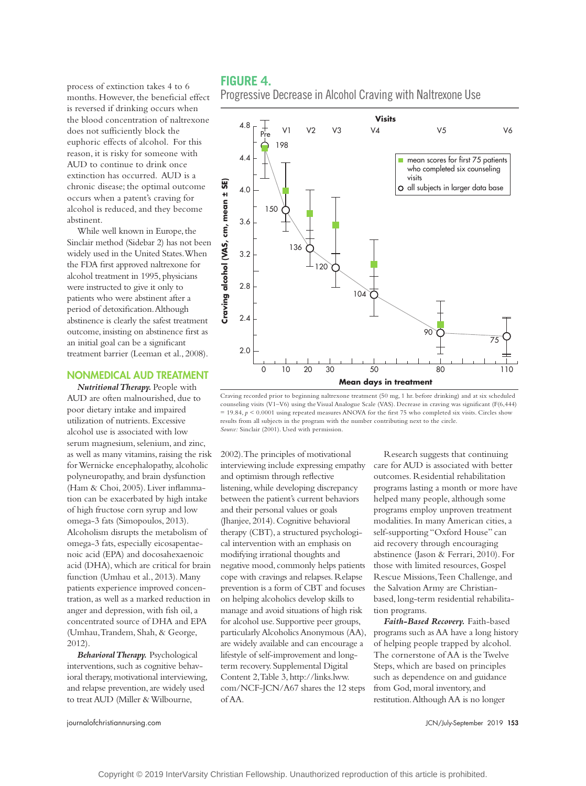process of extinction takes 4 to 6 months. However, the beneficial effect is reversed if drinking occurs when the blood concentration of naltrexone does not sufficiently block the euphoric effects of alcohol. For this reason, it is risky for someone with AUD to continue to drink once extinction has occurred. AUD is a chronic disease; the optimal outcome occurs when a patent's craving for alcohol is reduced, and they become abstinent.

While well known in Europe, the Sinclair method (Sidebar 2) has not been widely used in the United States. When the FDA first approved naltrexone for alcohol treatment in 1995, physicians were instructed to give it only to patients who were abstinent after a period of detoxification. Although abstinence is clearly the safest treatment outcome, insisting on abstinence first as an initial goal can be a significant treatment barrier (Leeman et al., 2008).

#### NONMEDICAL AUD TREATMENT

*Nutritional Therapy.* People with AUD are often malnourished, due to poor dietary intake and impaired utilization of nutrients. Excessive alcohol use is associated with low serum magnesium, selenium, and zinc, as well as many vitamins, raising the risk for Wernicke encephalopathy, alcoholic polyneuropathy, and brain dysfunction (Ham & Choi, 2005). Liver inflammation can be exacerbated by high intake of high fructose corn syrup and low omega-3 fats (Simopoulos, 2013). Alcoholism disrupts the metabolism of omega-3 fats, especially eicosapentaenoic acid (EPA) and docosahexaenoic acid (DHA), which are critical for brain function (Umhau et al., 2013). Many patients experience improved concentration, as well as a marked reduction in anger and depression, with fish oil, a concentrated source of DHA and EPA (Umhau, Trandem, Shah, & George, 2012).

*Behavioral Therapy.* Psychological interventions, such as cognitive behavioral therapy, motivational interviewing, and relapse prevention, are widely used to treat AUD (Miller & Wilbourne,

#### **FIGURE 4.**

Progressive Decrease in Alcohol Craving with Naltrexone Use



Craving recorded prior to beginning naltrexone treatment (50 mg, 1 hr. before drinking) and at six scheduled counseling visits (V1–V6) using the Visual Analogue Scale (VAS). Decrease in craving was significant (F(6,444) = 19.84, *p* < 0.0001 using repeated measures ANOVA for the first 75 who completed six visits. Circles show results from all subjects in the program with the number contributing next to the circle.

2002). The principles of motivational interviewing include expressing empathy and optimism through reflective listening, while developing discrepancy between the patient's current behaviors and their personal values or goals (Jhanjee, 2014). Cognitive behavioral therapy (CBT), a structured psychological intervention with an emphasis on modifying irrational thoughts and negative mood, commonly helps patients cope with cravings and relapses. Relapse prevention is a form of CBT and focuses on helping alcoholics develop skills to manage and avoid situations of high risk for alcohol use. Supportive peer groups, particularly Alcoholics Anonymous (AA), are widely available and can encourage a lifestyle of self-improvement and longterm recovery. Supplemental Digital Content 2, Table 3, [http://links.lww.](http://links.lww.com/NCF-JCN/A67) [com/NCF-JCN/A67](http://links.lww.com/NCF-JCN/A67) shares the 12 steps of AA.

Research suggests that continuing care for AUD is associated with better outcomes. Residential rehabilitation programs lasting a month or more have helped many people, although some programs employ unproven treatment modalities. In many American cities, a self-supporting "Oxford House" can aid recovery through encouraging abstinence (Jason & Ferrari, 2010). For those with limited resources, Gospel Rescue Missions, Teen Challenge, and the Salvation Army are Christianbased, long-term residential rehabilitation programs.

*Faith-Based Recovery.* Faith-based programs such as AA have a long history of helping people trapped by alcohol. The cornerstone of AA is the Twelve Steps, which are based on principles such as dependence on and guidance from God, moral inventory, and restitution. Although AA is no longer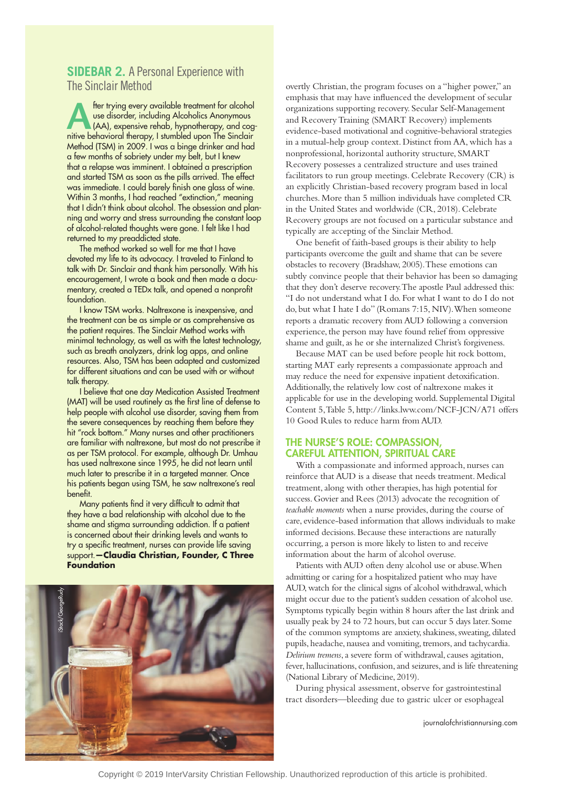#### **SIDEBAR 2.** A Personal Experience with The Sinclair Method

**Alfonsole trying every available treatment for alcohol**<br>
(AA), expensive rehab, hypnotherapy, and cog-<br>
pitive behavioral therapy, Let unbled upon The Sinclair use disorder, including Alcoholics Anonymous nitive behavioral therapy, I stumbled upon The Sinclair Method (TSM) in 2009. I was a binge drinker and had a few months of sobriety under my belt, but I knew that a relapse was imminent. I obtained a prescription and started TSM as soon as the pills arrived. The effect was immediate. I could barely finish one glass of wine. Within 3 months, I had reached "extinction," meaning that I didn't think about alcohol. The obsession and planning and worry and stress surrounding the constant loop of alcohol-related thoughts were gone. I felt like I had returned to my preaddicted state.

The method worked so well for me that I have devoted my life to its advocacy. I traveled to Finland to talk with Dr. Sinclair and thank him personally. With his encouragement, I wrote a book and then made a documentary, created a TEDx talk, and opened a nonprofit foundation.

I know TSM works. Naltrexone is inexpensive, and the treatment can be as simple or as comprehensive as the patient requires. The Sinclair Method works with minimal technology, as well as with the latest technology, such as breath analyzers, drink log apps, and online resources. Also, TSM has been adapted and customized for different situations and can be used with or without talk therapy.

I believe that one day Medication Assisted Treatment (MAT) will be used routinely as the first line of defense to help people with alcohol use disorder, saving them from the severe consequences by reaching them before they hit "rock bottom." Many nurses and other practitioners are familiar with naltrexone, but most do not prescribe it as per TSM protocol. For example, although Dr. Umhau has used naltrexone since 1995, he did not learn until much later to prescribe it in a targeted manner. Once his patients began using TSM, he saw naltrexone's real benefit.

Many patients find it very difficult to admit that they have a bad relationship with alcohol due to the shame and stigma surrounding addiction. If a patient is concerned about their drinking levels and wants to try a specific treatment, nurses can provide life saving support.**—Claudia Christian, Founder, C Three Foundation**



overtly Christian, the program focuses on a "higher power," an emphasis that may have influenced the development of secular organizations supporting recovery. Secular Self-Management and Recovery Training (SMART Recovery) implements evidence-based motivational and cognitive-behavioral strategies in a mutual-help group context. Distinct from AA, which has a nonprofessional, horizontal authority structure, SMART Recovery possesses a centralized structure and uses trained facilitators to run group meetings. Celebrate Recovery (CR) is an explicitly Christian-based recovery program based in local churches. More than 5 million individuals have completed CR in the United States and worldwide (CR, 2018). Celebrate Recovery groups are not focused on a particular substance and typically are accepting of the Sinclair Method.

One benefit of faith-based groups is their ability to help participants overcome the guilt and shame that can be severe obstacles to recovery (Bradshaw, 2005). These emotions can subtly convince people that their behavior has been so damaging that they don't deserve recovery. The apostle Paul addressed this: "I do not understand what I do. For what I want to do I do not do, but what I hate I do" (Romans 7:15, NIV). When someone reports a dramatic recovery from AUD following a conversion experience, the person may have found relief from oppressive shame and guilt, as he or she internalized Christ's forgiveness.

Because MAT can be used before people hit rock bottom, starting MAT early represents a compassionate approach and may reduce the need for expensive inpatient detoxification. Additionally, the relatively low cost of naltrexone makes it applicable for use in the developing world. Supplemental Digital Content 5, Table 5, http://links.lww.com/NCF-JCN/A71 offers 10 Good Rules to reduce harm from AUD.

#### THE NURSE'S ROLE: COMPASSION, CAREFUL ATTENTION, SPIRITUAL CARE

With a compassionate and informed approach, nurses can reinforce that AUD is a disease that needs treatment. Medical treatment, along with other therapies, has high potential for success. Govier and Rees (2013) advocate the recognition of *teachable moments* when a nurse provides, during the course of care, evidence-based information that allows individuals to make informed decisions. Because these interactions are naturally occurring, a person is more likely to listen to and receive information about the harm of alcohol overuse.

Patients with AUD often deny alcohol use or abuse. When admitting or caring for a hospitalized patient who may have AUD, watch for the clinical signs of alcohol withdrawal, which might occur due to the patient's sudden cessation of alcohol use. Symptoms typically begin within 8 hours after the last drink and usually peak by 24 to 72 hours, but can occur 5 days later. Some of the common symptoms are anxiety, shakiness, sweating, dilated pupils, headache, nausea and vomiting, tremors, and tachycardia. *Delirium tremens*, a severe form of withdrawal, causes agitation, fever, hallucinations, confusion, and seizures, and is life threatening (National Library of Medicine, 2019).

During physical assessment, observe for gastrointestinal tract disorders—bleeding due to gastric ulcer or esophageal

[journalofchristiannursing.com](http://journalofchristiannursing.com)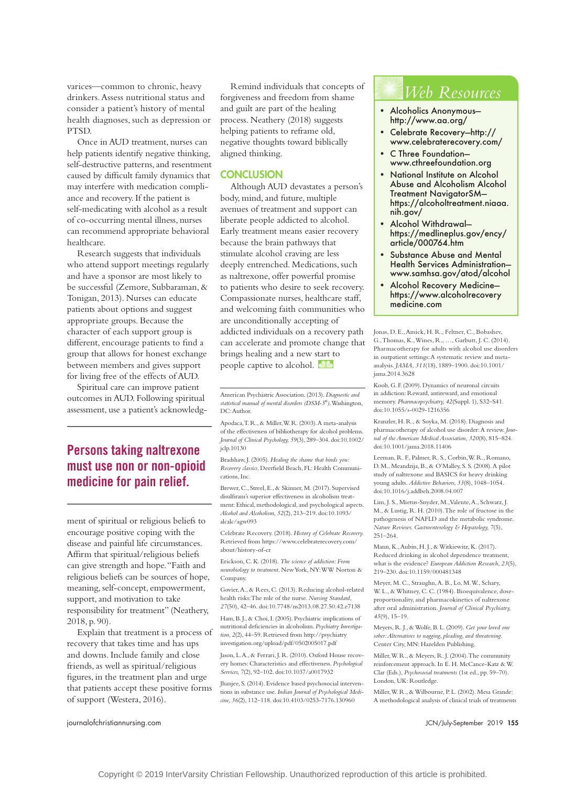varices—common to chronic, heavy drinkers. Assess nutritional status and consider a patient's history of mental health diagnoses, such as depression or PTSD.

Once in AUD treatment, nurses can help patients identify negative thinking, self-destructive patterns, and resentment caused by difficult family dynamics that may interfere with medication compliance and recovery. If the patient is self-medicating with alcohol as a result of co-occurring mental illness, nurses can recommend appropriate behavioral healthcare.

Research suggests that individuals who attend support meetings regularly and have a sponsor are most likely to be successful (Zemore, Subbaraman, & Tonigan, 2013). Nurses can educate patients about options and suggest appropriate groups. Because the character of each support group is different, encourage patients to find a group that allows for honest exchange between members and gives support for living free of the effects of AUD.

Spiritual care can improve patient outcomes in AUD. Following spiritual assessment, use a patient's acknowledg-

## **Persons taking naltrexone must use non or non-opioid medicine for pain relief.**

ment of spiritual or religious beliefs to encourage positive coping with the disease and painful life circumstances. Affirm that spiritual/religious beliefs can give strength and hope. "Faith and religious beliefs can be sources of hope, meaning, self-concept, empowerment, support, and motivation to take responsibility for treatment" (Neathery, 2018, p. 90).

Explain that treatment is a process of recovery that takes time and has ups and downs. Include family and close friends, as well as spiritual/religious figures, in the treatment plan and urge that patients accept these positive forms of support (Westera, 2016).

Remind individuals that concepts of forgiveness and freedom from shame and guilt are part of the healing process. Neathery (2018) suggests helping patients to reframe old, negative thoughts toward biblically aligned thinking.

#### **CONCLUSION**

Although AUD devastates a person's body, mind, and future, multiple avenues of treatment and support can liberate people addicted to alcohol. Early treatment means easier recovery because the brain pathways that stimulate alcohol craving are less deeply entrenched. Medications, such as naltrexone, offer powerful promise to patients who desire to seek recovery. Compassionate nurses, healthcare staff, and welcoming faith communities who are unconditionally accepting of addicted individuals on a recovery path can accelerate and promote change that brings healing and a new start to people captive to alcohol. **NA** 

American Psychiatric Association. (2013). *Diagnostic and statistical manual of mental disorders (DSM-5®)*. Washington, DC: Author.

Apodaca, T. R., & Miller, W. R. (2003). A meta-analysis of the effectiveness of bibliotherapy for alcohol problems. *Journal of Clinical Psychology, 59*(3), 289–304. doi:10.1002/ jclp.10130

Bradshaw, J. (2005). *Healing the shame that binds you: Recovery classics*. Deerfield Beach, FL: Health Communications, Inc.

Brewer, C., Streel, E., & Skinner, M. (2017). Supervised disulfiram's superior effectiveness in alcoholism treatment: Ethical, methodological, and psychological aspects. *Alcohol and Alcoholism, 52*(2), 213–219. doi:10.1093/ alcalc/agw093

Celebrate Recovery. (2018). *History of Celebrate Recovery.* Retrieved from [https://www.celebraterecovery.com/](https://www.celebraterecovery.com/about/history-of-cr) [about/history-of-cr](https://www.celebraterecovery.com/about/history-of-cr)

Erickson, C. K. (2018). *The science of addiction: From neurobiology to treatment*. New York, NY: WW Norton & Company.

Govier, A., & Rees, C. (2013). Reducing alcohol-related health risks: The role of the nurse. *Nursing Standard, 27*(50), 42–46. doi:10.7748/ns2013.08.27.50.42.e7138

Ham, B. J., & Choi, I. (2005). Psychiatric implications of nutritional deficiencies in alcoholism. *Psychiatry Investigation, 2*(2), 44–59. Retrieved from [http://psychiatry](http://psychiatryinvestigation.org/upload/pdf/0502005017.pdf) [investigation.org/upload/pdf/0502005017.pdf](http://psychiatryinvestigation.org/upload/pdf/0502005017.pdf)

Jason, L.A., & Ferrari, J.R. (2010). Oxford House recovery homes: Characteristics and effectiveness. *Psychological Services, 7*(2), 92–102. doi:10.1037/a0017932

Jhanjee, S. (2014). Evidence based psychosocial interventions in substance use. *Indian Journal of Psychological Medicine, 36*(2), 112–118. doi:10.4103/0253-7176.130960

## *Web Resources*

- Alcoholics Anonymous <http://www.aa.org/>
- Celebrate Recovery—[http://](http://www.celebraterecovery.com/) [www.celebraterecovery.com/](http://www.celebraterecovery.com/)
- C Three Foundation [www.cthreefoundation.org](http://www.cthreefoundation.org)
- National Institute on Alcohol Abuse and Alcoholism Alcohol Treatment NavigatorSM [https://alcoholtreatment.niaaa.](https://alcoholtreatment.niaaa.nih.gov/) [nih.gov/](https://alcoholtreatment.niaaa.nih.gov/)
- Alcohol Withdrawal [https://medlineplus.gov/ency/](https://medlineplus.gov/ency/article/000764.htm) [article/000764.htm](https://medlineplus.gov/ency/article/000764.htm)
- Substance Abuse and Mental Health Services Administration <www.samhsa.gov/atod/alcohol>
- Alcohol Recovery Medicine [https://www.alcoholrecovery](https://www.alcoholrecoverymedicine.com)  [medicine.com](https://www.alcoholrecoverymedicine.com)

Jonas, D. E., Amick, H. R., Feltner, C., Bobashev, G., Thomas, K., Wines, R., …, Garbutt, J. C. (2014). Pharmacotherapy for adults with alcohol use disorders in outpatient settings: A systematic review and metaanalysis. *JAMA, 311*(18), 1889–1900. doi:10.1001/ jama.2014.3628

Koob, G. F. (2009). Dynamics of neuronal circuits in addiction: Reward, antireward, and emotional memory. *Pharmacopsychiatry, 42*(Suppl. 1), S32–S41. doi:10.1055/s-0029-1216356

Kranzler, H. R., & Soyka, M. (2018). Diagnosis and pharmacotherapy of alcohol use disorder: A review. *Journal of the American Medical Association, 320*(8), 815–824. doi:10.1001/jama.2018.11406

Leeman, R. F., Palmer, R. S., Corbin, W. R., Romano, D. M., Meandzija, B., & O'Malley, S. S. (2008). A pilot study of naltrexone and BASICS for heavy drinking young adults. *Addictive Behaviors, 33*(8), 1048–1054. doi:10.1016/j.addbeh.2008.04.007

Lim, J. S., Mietus-Snyder, M., Valente, A., Schwarz, J. M., & Lustig, R. H. (2010). The role of fructose in the pathogenesis of NAFLD and the metabolic syndrome. *Nature Reviews. Gastroenterology & Hepatology, 7*(5), 251–264.

Mann, K., Aubin, H. J., & Witkiewitz, K. (2017). Reduced drinking in alcohol dependence treatment, what is the evidence? *European Addiction Research, 23*(5), 219–230. doi:10.1159/000481348

Meyer, M. C., Straughn, A. B., Lo, M. W., Schary, W. L., & Whitney, C. C. (1984). Bioequivalence, doseproportionality, and pharmacokinetics of naltrexone after oral administration. *Journal of Clinical Psychiatry, 45*(9), 15–19.

Meyers, R. J., & Wolfe, B. L. (2009). *Get your loved one sober: Alternatives to nagging, pleading, and threatening*. Center City, MN: Hazelden Publishing.

Miller, W. R., & Meyers, R. J. (2004). The community reinforcement approach. In E. H. McCance-Katz & W. Clar (Eds.), *Psychosocial treatments* (1st ed., pp. 59–70). London, UK: Routledge.

Miller, W. R., & Wilbourne, P. L. (2002). Mesa Grande: A methodological analysis of clinical trials of treatments

[journalofchristiannursing.com](http://journalofchristiannursing.com) JCN/July-September 2019 155